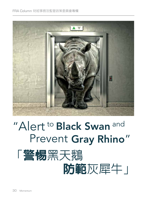

# "Alert to Black Swan and Prevent Gray Rhino" 「警惕黑天鵝

 防範灰犀牛」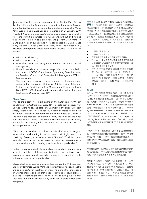In addressing the opening ceremony at the Central Party School<br>
of the CPC Central Committee presided by Premier Li Keqiang n addressing the opening ceremony at the Central Party School and attended by standing committee members Li Zhanshu, Wang Yang, Wang Huning, Zhao Leji and Han Zheng on 21 January 2019, President Xi Jinping noted that China's national security and stability were under multiple threats from within and without and warned that "we must be alert to Black Swan and prevent Gray Rhino" in managing risks or events that were confronted by China. Since then, the terms "Black Swan" and "Gray Rhino" have been wildly circulated and reported across social media in China. This article will discuss:

- What is "Black Swan";
- What is "Gray Rhino";
- How Black Swan and Gray Rhino events are related to risk management;
- How risks are identified, assessed, responded to and controlled in the context of COSO (Committee of Sponsoring Organizations of the Treadway Commission) Enterprise Risk Management ("ERM") Framework; and
- The legal and regulatory issues relating to risk management under (a) the Companies Ordinance; (b) the Listing Rules; and (c) the Legal Practitioners (Risk Management Education) Rules, Cap. 159Z ("RME Rules") made under section 73 of the Legal Practitioners Ordinance, Cap. 159.

## **Black Swan**

Prior to the discovery of black swans by the Dutch explorer Willem de Vlamingh in Australia in January 1697, people then believed that all swans were white, and black swans simply didn't exist. In modern times, "Black Swan" was coined by Nassim Nicholas Taleb in his first book "Fooled by Randomness: the Hidden Role of Chance in Life and in the Markets" published in 2001, and in his second book published in 2008, titled "The Black Swan: the Impact of the Highly Improbable" to denote, in his own words, risk or an event with the following three attributes:

"First, it is an outlier, as it lies outside the realm of regular expectations, and nothing in the past can convincingly point to its possibility. Second, it carries an extreme "impact". Third, in spite of its outlier status, human nature makes us concoct expectations for its occurrence after the fact, making it explainable and predictable."

Under the conventional wisdom, risks are studied quantitatively under the bell shape of the normal distribution curve that black swan risks or events are normally excluded or ignored as being too remote or too uncertain or too unpredictable.

Classic black swan events, to name a few, include the 11 September attacks by terrorists, World War I and II, catastrophic floods, droughts and epidemics. Given that these events or risks are either improbable or unpredictable or both that people develop a psychological bias and "collective blindness" to them, not knowing the fact that such rare, but major, events are by definition outliers makes them dangerous.

習近平主席在2019年1月21日由李克強總理主 持、常委栗戰書、汪洋、王滬寧、趙樂際及 韓正出席的中共中央委員會中央黨校開班式上致辭 時指出:中國的國家安全與穩定面臨著來自內部及 外部的多重威脅,並強調在應對中國面臨的風險或 事件時,「我們必須警惕黑天鵝,也要防範灰犀 牛」。此後,「黑天鵝」及「灰犀牛」二詞在中國 社交媒體上廣為流傳並得到廣泛報導。本文將討 論:

- 什麼是「黑天鵝」;
- 什麼是「灰犀牛」;
- 黑天鵝及灰犀牛事件與風險管理有何關聯;
- 在COSO(全美反虛假財務報告委員會下屬發起 人委員會)企業風險管理框架下如何識別、評 估、應對及控制風險;及
- 下列法規下風險管理的相關法律及法規問 題:(a) 《公司條例》;(b)《上市規則》; 及 (c) 根據《法律執業者條例》(第 159 章)第7 3條制定的《法律執業者(風險管 理教育)規則》(第159Z章)(「RME規 則 」)。

#### **黑天鵝**

在 1697 年 1 月荷蘭探險家威廉·德·弗拉明格 (Willem de Vlamingh)於澳洲發現黑天鵝之前, 人們認為所有天鵝全是白色,根本就不存在黑天 鵝。在現代,納西姆·尼古拉斯·塔勒布(Nassim Nicholas Taleb)於2001年出版的第一本書《隨機 騙局:潛藏在生活與市場中的機率陷阱》(Fooled by Randomness: the Hidden Role of Chance in Life and in the Markets)及2008年出版的第二本書 《黑天鵝效應》(The Black Swan: the Impact of the Highly Improbable)中提出「黑天鵝」,用他 自己的話說,用來表示具有以下三個屬性的風險或 事件:

「首先,它是一個離群値,處於正常的期望範圍之 外,不存在足以證明其可能性的前例。第二,它會帶 來極大的「衝擊」。第三,儘管事件處於離群値,人 們會出於天性在事後編造出解釋,稱這事件為可解釋 或可預測的。」

按照傳統觀點,我們按照正態分佈的鐘形曲線對風險 進行定量研究,而黑天鵝風險或事件通常由於可能性 太低、太不確定或太不可預測而被排除或忽略。

典型的黑天鵝事件包括911恐怖襲擊、第一次世 界大戰和第二次世界大戰、災難性的水災、旱災 及流行病。鑑於這些事件或風險發生的可能性低 或不可預測,或者兩者兼備,人們對其產生了心 理偏見和「集體失明」,無法意識到這些罕見 而重大的事件屬於離群值正是它們如此危險的 原因。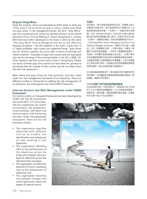# **Gray (or Grey) Rhino**

Quite the contrary, rhinos are described as either black or white but in fact most if not all rhinos are gray in colour, neither pure black nor pure white. In risk management sense, the term "Gray Rhino" was first introduced and coined by Michele Wucker at the World Economic Forum Annual Meeting in Davos Switzerland in January 2013 and was further developed in her book in 2016 by the name "The Gray Rhino: How to Recognize and Act on the Oblivious Dangers we Ignore". Like the elephant in the room, a gray rhino is a "highly probable, high impact yet neglected threat…gray rhinos are not random surprises, but occur after a series of warnings and visible evidence". Examples of gray rhino events and the associated risks are the bursting of the housing bubble in the US in 2008, US-China tensions, and the current social unrest in Hong Kong. People are aware of these gray rhino events but take these for granted as something that are outside of their control and do not factor them into their risk assessment.

Black swans and gray rhinos are only particular, and rare, cases under the risk management framework of an enterprise. There are different models or frameworks to address the risk management of an enterprise, the most popular one is the COSO Framework.

# **Internal Control and Risk Management under COSO Framework**

On internal control, an integrated framework has been developed by COSO with five (5) components

and seventeen (17) principles. The five components are control environment, risk assessment, control activities, information and communication, and monitoring activities. Under risk assessment component, there are four (4) principles, namely,

- The organisation specifies objectives with sufficient clarity to enable the identification and assessment of risks relating to the objectives;
- The organisation identifies risks to the achievement of the objectives across the entity and analyses risks as a basis for determining how the risks should be managed;
- The organisation considers the potential for fraud in assessing risks to the achievement of objectives; and
- The organisation identifies and assesses changes that could significantly impact the system of internal control.

## **灰犀牛**

恰恰相反,犀牛被描述為黑色或白色,而實際上絕大 多數犀牛都是灰色,既不是純黑色也不是純白色。從 風險管理的角度來看,「灰犀牛」一詞最早是由米歇 爾·沃克 (Michele Wucker) 在2013年1月瑞士達沃斯 舉行的世界經濟論壇年會上提出,而後在2016年名為 《灰犀牛:危機就在眼前,為何我們選擇視而不見 ?》

(The Gray Rhino: How to Recognize and Act on the Oblivious Dangers we Ignore)的著作中作出進一步闡 述。正如「房間裡的大象」,灰犀牛是指「大概率、影 響巨大卻被忽視的威脅……灰犀牛不是隨機突發事件, 而是在一系列警示信號和跡象之後出現」。灰犀牛事件 及其相關風險實例包括2008年美國房地產泡沫破裂、 中美緊張局勢以及香港當前的社會動盪。人們已經意識 到了這些灰犀牛事件,但將超出他們控制範圍的事情視 為理所當然,因此沒有將其納入風險評估。

在企業的風險管理框架下,黑天鵝及灰犀牛僅是特殊罕 見的案例。有多種處理企業風險管理的模型或框架,最 普遍的一種是COSO框架。

#### COSO**框架下的內部控制與風險管理**

在內部控制方面,COSO制定了一個包含五 (5) 大元素 及十七 (17) 項原則的整體框架。五大元素是控制環境、 風險評估、控制活動、資訊與溝通及監控活動。在風險 評估元素下有以下四(4)項原則:

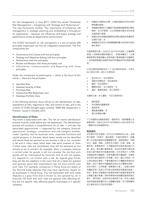On risk management, in June 2017, COSO has issued "Enterprise Risk Management – Integrating with Strategy and Performance". The new framework clarifies "the importance of enterprise risk management in strategic planning and embedding it throughout an organisation – because risk influences and aligns strategy and performance across all departments and functions".

The COSO framework on risk managment is a set of twenty (20) principles orgainised into five (5) integrated components. The five components are:

- Governance and Culture with five principles;
- Strategy and Objective Setting with four principles;
- Performance with five principles;
- Review and Revision with three principles; and
- Information, Communication and Reporting with three principles.

Under the component of performance — which is the focus of this article — there are five principles:

- Identifies Risk;
- Assesses Severity of Risk;
- Prioritises Risk;
- Implements Risk Responses; and
- Develops Portfolio View.

In the following sections, focus will be on the identification of risks, assessment of risks, response to risks, and control of risks, and in the context of COSO thought paper entitled "ERM Risk Assessment in Practice" issued in October 2012.

## **Identification of Risks**

Any event is associated with risks. The risk (or event) identification process must be made before any risk assessment. The identification process will produce a comprehensive list of risks — and also the associated opportunities — organised by risk category, financial; operational; strategic; compliance and sub-category (market, credit, liquidity, etc) for business units, corporate functions and capital projects. In the past, black swans would not be identified and would likely be ignored as too remote a risk or too uncertain a risk and in many cases, black swan risks were unaware of. Even if black swan risks are considered, they will be assessed as too remote to be of concern; for example, when a company receives a normal order for goods, it will not consider the risk that such goods will be intercepted by terrorists and so will not assess, nor respond to, nor control such a risk. As regards gray rhinos, they are like the elephant in the room that all is taken for granted and ignored, given that corporations may not have control over such risks. For example, companies in Hong Kong are aware of the Sino-US trade disputes that may have significant impact on all businesses in Hong Kong. The risk associated with such trade disputes is a gray rhino that is known to, but ignored by, all in business. All think that such risks are general risks affecting all, but are not specific risks affecting specific businesses or a specific company.

- 組織設定清晰的目標,以便能夠識別和評估與目 標有關的風險;
- 組織識別整個公司層面可能威脅組織實現目標的 風險,並分析風險,以此為基礎來確定如何對這 些風險進行管理;
- 組織在評估威脅組織實現目標的風險時考慮欺詐 的潛在可能;及
- 組織識別並評估可能會嚴重影響內部控制系統的 變化事項。

在風險管理方面,COSO於2017年6月發佈《企業風險 管理 – 與策略和績效相整合》。新框架闡明了「企業 風險管理在策略規劃以及將其融入整個組織中的重要性 –因為風險影響並協調所有部門和職能部門的策略和績 效」。

COSO風險管理框架由二十 (20) 條原則組成,分為五 (5)大綜合元素。這五大元素包括:

- 管治和文化,有五項原則;
- 策略及目標設定,有四項原則;
- 績效,有五項原則;
- 審閱及修訂,有三項原則;及
- 資訊、溝通和報告,有三項原則**。**

在績效元素(本文重點)下的五項原則是:

- 識別風險;
- 評估風險的嚴重程度;
- 風險排序;
- 實施風險響應;及
- 建立投資組合觀。

下文將重點討論風險識別、風險評估、風險響應以及 風險控制,並結合 2012年10月發佈的 COSO 思想文件 「實踐中的ERM風險評估」。

## **風險識別**

任何事件均存在風險。在作出任何風險評估之前,必須 執行風險(或事件)識別過程。在識別過程中,將編 寫一份全面的風險及相關機會列表,按風險類別、財務 狀況、營運、策略、合規性及子類別(市場、信貸、流 動性等)對業務部門、公司職能部門及資本項目進行分 類。過去,黑天鵝不會被發現,並且由於風險可能性過 低或太過不確定而可能會被忽略,在許多情況下人們無 法意識到黑天鵝風險。即使考慮到黑天鵝風險,亦會被 評估為可能性過低而不足為慮;例如,當公司收到一份 正常的商品訂單時,不會考慮恐怖分子攔截該等商品的 風險,因此不會評估有關風險並對此作出響應或控制。 至於灰犀牛,它們就像「房間裡的大象」,因習以為常 而遭到忽視,因為公司可能沒有控制該等風險的措施。 例如,香港公司意識到中美貿易爭端可能會對香港所有 企業產生重大影響。與該等貿易糾紛相關的風險即是灰 犀牛,眾所周知,卻被所有企業視而不見。所有人都認 為該等風險是影響所有人的總體性風險,而不是影響特 定企業或特定公司的特定風險。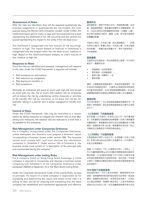## **Assessment of Risks**

After the risks are identified, they will be assessed qualitatively (by business judgement) or quantitatively (by risk models, the most popular being the Monte Carlo simulation model). Under COSO, the Likelihood-Impact grid or matric is used with the horizontal line (x-axis) representing the likelihood of the risk occurring and the vertical line (y-axis) representing the impact to the entity if the risk does occur.

The likelihood is categorised into low (chance of risk occurring), medium or high. The impact (based on financial or otherwise) is categorised into low (impact when the risk does occur), medium or high. Based on the Likelihood-Impact analysis, an event may be of low, medium or high risk.

## **Response to Risks**

Once the risks are identified and assessed, management will respond to the risks. Under the COSO framework, a response will include:

- Risk avoidance (or elimination);
- Risk reduction (or mitigation);
- Risk sharing (or transfer); or
- Risk acceptance.

Normally, an enterprise will avoid an event with high risk and accept an event with low risk. For an event with medium risk, an enterprise will (a) reduce the risk by undertaking control measures or activities or (b) transfer the risk by insurance, or (c) share the risk by, for example, taking in a partner who is better equipped to handle such risk.

## **Control of Risks**

Under the COSO framework, risks may be controlled to a certain extent by taking measures to mitigate the inherent risks so that after taking such measures, the residual risks are reduced to a level that is acceptable to the enterprise.

## **Risk Management under Companies Ordinance**

For a company incorporated under the Companies Ordinance, unless exempted, the directors must prepare a directors' report incorporating a business review under section 388. The business review must comply with, and must disclose the information contained in, Schedule 5. Under section 1(b) of Schedule 5, the business review must consist of "a description of the principal risks and uncertainties facing the company".

## **Risk Management under Listing Rules**

For a company listed on Hong Kong Stock Exchange, a listed company is required to incorporate and disclose a business review complying with Schedule 5 of the Companies Ordinance under paragraph 28(2)(d) of Appendix 16 to the Main Board Listing Rules.

Under the Corporate Governance Code of the Listing Rules, by way of principle, the board of a listed company is responsible (a) for evaluating and determining the nature and extent of the risks it is willing to take; and (b) for ensuring and overseeing that the listed company has established and maintained appropriate and effective

# **風險評估**

識別風險後,將對它們進行定性(透過商業判斷)或定 量(透過風險模型,最普遍的是蒙特卡洛模擬模型)評 估。COSO 使用似然影響網格或矩陣,以橫線(x 軸) 表示發生風險的可能性,豎線(y 軸)表示發生風險時 對實體的影響。

可能性分為低、中或高三檔(發生風險機率)。(財務 或其他方面的)影響分為低、中或高三檔(在發生風險 時的影響)。根據可能性影響分析,事件可能具有低、 中或高風險。

### **風險響應**

在識別及評估風險後,將針對風險加以管理。在COSO 框架下,響應將包括:

- 規避風險(或消除風險);
- 降低風險(或減緩風險);
- 風險分擔(或轉移);或
	- 風險承擔。

通常,企業會避免高風險事件,而接受低風險事件。對 於具有中等風險的事件,企業將 (a) 透過採取控制措施 或活動來降低風險,或(b) 透過保險轉移風險,或 (c) 透 過選擇能夠更好地處理此類風險的合夥人來分擔風險。

## **風險控制**

在COSO框架下,可以採取措施減緩固有風險來在一定 程度上控制風險,使此後的剩餘風險降至企業可以接受 的水平。

## **《公司條例》下的風險管理**

對於根據《公司條例》註冊成立的公司,除非獲得豁 免,否則董事必須根據第388條擬備一份納入業務審視 的董事報告。業務審視必須符合且必須披露附表 5 所載 資訊。根據附表 5第 1(b) 條,業務審視必須包括「對公 司面對的主要風險及不明朗因素的描述」。

### **《上市規則》下的風險管理**

在香港證券交易所上市的公司,必須根據《主板上市規 則》附錄16第 28(2) (d) 段納入及披露符合《公司條例》 附表5的業務審視。

根據《上市規則》下的《企業管治守則》,原則上,上 市公司董事會負責 (a) 評估及釐定其願意接納的風險性 質及程度;及 (b) 確保及監督上市公司設立及維持合適 及有效的風險管理及內部控制系統。就此而言,守則條 文提供了有關如何實施及檢討內部控制及風險管理系統 的詳細條文。

## RME**規則下的風險管理**

RME規則規定,任何人若成為律師、實習律師或外地 律師,須根據RME規則第5條的規定完成RME一般必修 課程。根據第6條的規定,若律師成為合夥人,必須完 成主管必修課程。根據第7條的規定,之後所有律師必 須每年至少完成3小時,或在連續兩個執業年度內完成